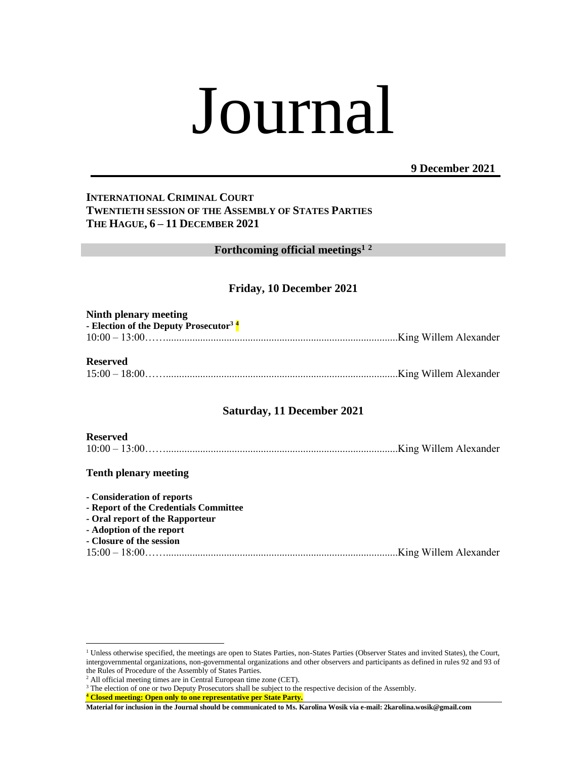# Journal

**9 December 2021**

# **INTERNATIONAL CRIMINAL COURT TWENTIETH SESSION OF THE ASSEMBLY OF STATES PARTIES THE HAGUE, 6 – 11 DECEMBER 2021**

**Forthcoming official meetings<sup>1</sup> <sup>2</sup>**

# **Friday, 10 December 2021**

| Ninth plenary meeting<br>- Election of the Deputy Prosecutor <sup>3</sup> <sup>4</sup> |  |
|----------------------------------------------------------------------------------------|--|
| <b>Reserved</b>                                                                        |  |
|                                                                                        |  |

# **Saturday, 11 December 2021**

| <b>Reserved</b> |  |
|-----------------|--|
|                 |  |

# **Tenth plenary meeting**

 $\overline{a}$ 

| - Consideration of reports            |  |
|---------------------------------------|--|
| - Report of the Credentials Committee |  |
| - Oral report of the Rapporteur       |  |
| - Adoption of the report              |  |
| - Closure of the session              |  |
|                                       |  |
|                                       |  |

<sup>&</sup>lt;sup>1</sup> Unless otherwise specified, the meetings are open to States Parties, non-States Parties (Observer States and invited States), the Court, intergovernmental organizations, non-governmental organizations and other observers and participants as defined in rules 92 and 93 of the Rules of Procedure of the Assembly of States Parties.

<sup>2</sup> All official meeting times are in Central European time zone (CET).

<sup>&</sup>lt;sup>3</sup> The election of one or two Deputy Prosecutors shall be subject to the respective decision of the Assembly.

**<sup>4</sup> Closed meeting: Open only to one representative per State Party.**

**Material for inclusion in the Journal should be communicated to Ms. Karolina Wosik via e-mail: 2karolina.wosik@gmail.com**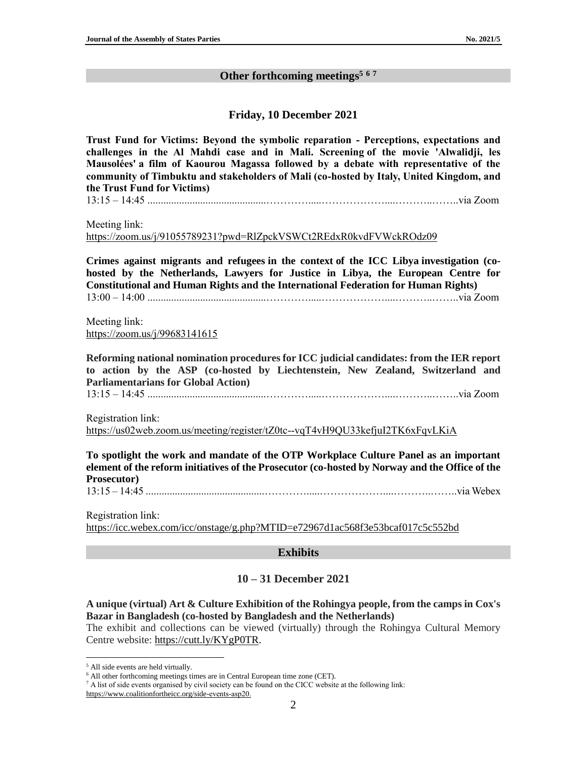# **Other forthcoming meetings 5 6 7**

### **Friday, 10 December 2021**

**Trust Fund for Victims: Beyond the symbolic reparation - Perceptions, expectations and challenges in the Al Mahdi case and in Mali. Screening of the movie 'Alwalidji, les Mausolées' a film of Kaourou Magassa followed by a debate with representative of the community of Timbuktu and stakeholders of Mali (co-hosted by Italy, United Kingdom, and the Trust Fund for Victims)**

13:15 – 14:45 .............................................………….....………………....………..……..via Zoom

Meeting link:

<https://zoom.us/j/91055789231?pwd=RlZpckVSWCt2REdxR0kvdFVWckROdz09>

**Crimes against migrants and refugees in the context of the ICC Libya investigation (cohosted by the Netherlands, Lawyers for Justice in Libya, the European Centre for Constitutional and Human Rights and the International Federation for Human Rights)** 13:00 – 14:00 .............................................………….....………………....………..……..via Zoom

Meeting link: <https://zoom.us/j/99683141615>

**Reforming national nomination procedures for ICC judicial candidates: from the IER report to action by the ASP (co-hosted by Liechtenstein, New Zealand, Switzerland and Parliamentarians for Global Action)**

13:15 – 14:45 .............................................………….....………………....………..……..via Zoom

Registration link:

<https://us02web.zoom.us/meeting/register/tZ0tc--vqT4vH9QU33kefjuI2TK6xFqvLKiA>

**To spotlight the work and mandate of the OTP Workplace Culture Panel as an important element of the reform initiatives of the Prosecutor (co-hosted by Norway and the Office of the Prosecutor)**

13:15 – 14:45 .............................................………….....………………....………..……..via Webex

Registration link: <https://icc.webex.com/icc/onstage/g.php?MTID=e72967d1ac568f3e53bcaf017c5c552bd>

#### **Exhibits**

# **10 – 31 December 2021**

**A unique (virtual) Art & Culture Exhibition of the Rohingya people, from the camps in Cox's Bazar in Bangladesh (co-hosted by Bangladesh and the Netherlands)**

The exhibit and collections can be viewed (virtually) through the Rohingya Cultural Memory Centre website: [https://cutt.ly/KYgP0TR.](https://cutt.ly/KYgP0TR)

 $\overline{a}$ 

<sup>7</sup> A list of side events organised by civil society can be found on the CICC website at the following link:

<sup>5</sup> All side events are held virtually.

<sup>&</sup>lt;sup>6</sup> All other forthcoming meetings times are in Central European time zone (CET).

[https://www.coalitionfortheicc.org/side-events-asp20.](https://www.coalitionfortheicc.org/side-events-asp20)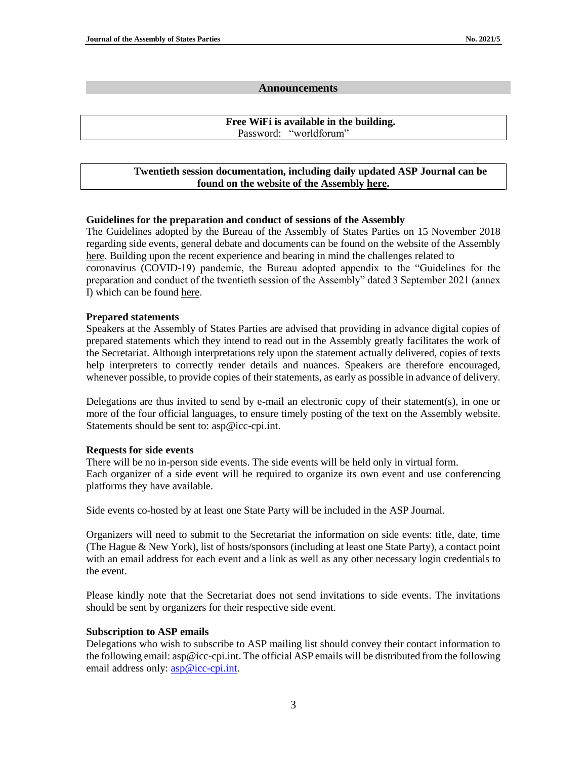#### **Announcements**

#### **Free WiFi is available in the building.** Password: "worldforum"

# **Twentieth session documentation, including daily updated ASP Journal can be found on the website of the Assembl[y here.](https://asp.icc-cpi.int/en_menus/asp/sessions/documentation/20th%20session/Pages/default.aspx#Documentation)**

# **Guidelines for the preparation and conduct of sessions of the Assembly**

The Guidelines adopted by the Bureau of the Assembly of States Parties on 15 November 2018 regarding side events, general debate and documents can be found on the website of the Assembly [here.](https://asp.icc-cpi.int/iccdocs/asp_docs/ASP17/Guidelines%20preparation%20and%20conduct%20of%20ASP%2029Nov2018.1200.pdf) Building upon the recent experience and bearing in mind the challenges related to coronavirus (COVID-19) pandemic, the Bureau adopted appendix to the "Guidelines for the preparation and conduct of the twentieth session of the Assembly" dated 3 September 2021 (annex I) which can be found [here.](https://asp.icc-cpi.int/iccdocs/asp_docs/ASP20/Bureau6.agenda%20and%20decisions.ENG.pdf)

#### **Prepared statements**

Speakers at the Assembly of States Parties are advised that providing in advance digital copies of prepared statements which they intend to read out in the Assembly greatly facilitates the work of the Secretariat. Although interpretations rely upon the statement actually delivered, copies of texts help interpreters to correctly render details and nuances. Speakers are therefore encouraged, whenever possible, to provide copies of their statements, as early as possible in advance of delivery.

Delegations are thus invited to send by e-mail an electronic copy of their statement(s), in one or more of the four official languages, to ensure timely posting of the text on the Assembly website. Statements should be sent to: asp@icc-cpi.int.

# **Requests for side events**

There will be no in-person side events. The side events will be held only in virtual form. Each organizer of a side event will be required to organize its own event and use conferencing platforms they have available.

Side events co-hosted by at least one State Party will be included in the ASP Journal.

Organizers will need to submit to the Secretariat the information on side events: title, date, time (The Hague & New York), list of hosts/sponsors (including at least one State Party), a contact point with an email address for each event and a link as well as any other necessary login credentials to the event.

Please kindly note that the Secretariat does not send invitations to side events. The invitations should be sent by organizers for their respective side event.

# **Subscription to ASP emails**

Delegations who wish to subscribe to ASP mailing list should convey their contact information to the following email: asp@icc-cpi.int. The official ASP emails will be distributed from the following email address only:  $\frac{\text{asp@}$ icc-cpi.int.